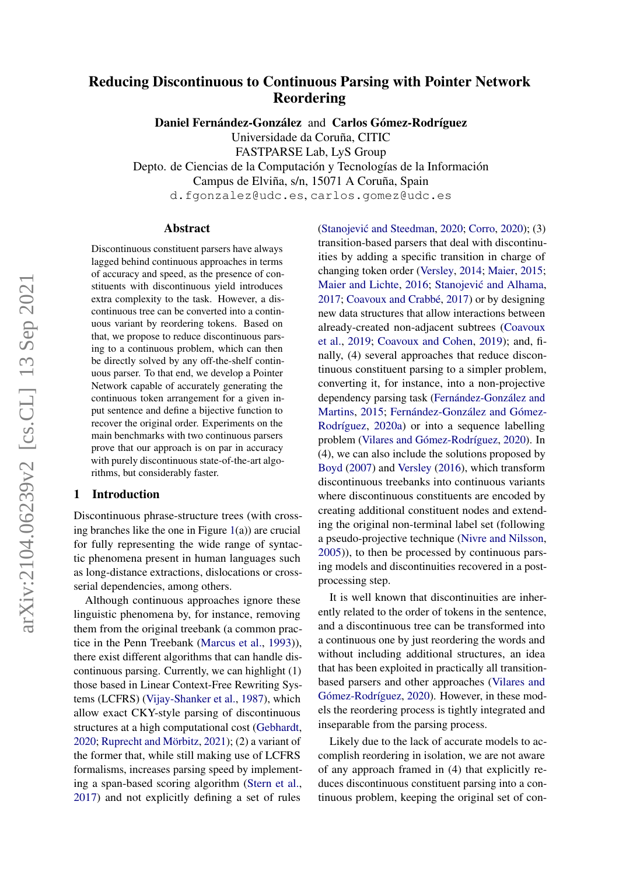# Reducing Discontinuous to Continuous Parsing with Pointer Network Reordering

Daniel Fernández-González and Carlos Gómez-Rodríguez

Universidade da Coruña, CITIC FASTPARSE Lab, LyS Group Depto. de Ciencias de la Computación y Tecnologías de la Información

Campus de Elviña, s/n, 15071 A Coruña, Spain

d.fgonzalez@udc.es, carlos.gomez@udc.es

#### Abstract

Discontinuous constituent parsers have always lagged behind continuous approaches in terms of accuracy and speed, as the presence of constituents with discontinuous yield introduces extra complexity to the task. However, a discontinuous tree can be converted into a continuous variant by reordering tokens. Based on that, we propose to reduce discontinuous parsing to a continuous problem, which can then be directly solved by any off-the-shelf continuous parser. To that end, we develop a Pointer Network capable of accurately generating the continuous token arrangement for a given input sentence and define a bijective function to recover the original order. Experiments on the main benchmarks with two continuous parsers prove that our approach is on par in accuracy with purely discontinuous state-of-the-art algorithms, but considerably faster.

# 1 Introduction

Discontinuous phrase-structure trees (with crossing branches like the one in Figure  $1(a)$  $1(a)$ ) are crucial for fully representing the wide range of syntactic phenomena present in human languages such as long-distance extractions, dislocations or crossserial dependencies, among others.

Although continuous approaches ignore these linguistic phenomena by, for instance, removing them from the original treebank (a common practice in the Penn Treebank [\(Marcus et al.,](#page-6-0) [1993\)](#page-6-0)), there exist different algorithms that can handle discontinuous parsing. Currently, we can highlight (1) those based in Linear Context-Free Rewriting Systems (LCFRS) [\(Vijay-Shanker et al.,](#page-6-1) [1987\)](#page-6-1), which allow exact CKY-style parsing of discontinuous structures at a high computational cost [\(Gebhardt,](#page-5-0) [2020;](#page-5-0) [Ruprecht and Mörbitz,](#page-6-2) [2021\)](#page-6-2); (2) a variant of the former that, while still making use of LCFRS formalisms, increases parsing speed by implementing a span-based scoring algorithm [\(Stern et al.,](#page-6-3) [2017\)](#page-6-3) and not explicitly defining a set of rules

(Stanojević and Steedman, [2020;](#page-6-4) [Corro,](#page-5-1) [2020\)](#page-5-1);  $(3)$ transition-based parsers that deal with discontinuities by adding a specific transition in charge of changing token order [\(Versley,](#page-6-5) [2014;](#page-6-5) [Maier,](#page-6-6) [2015;](#page-6-6) [Maier and Lichte,](#page-6-7) [2016;](#page-6-7) Stanojević and Alhama, [2017;](#page-6-8) [Coavoux and Crabbé,](#page-5-2) [2017\)](#page-5-2) or by designing new data structures that allow interactions between already-created non-adjacent subtrees [\(Coavoux](#page-5-3) [et al.,](#page-5-3) [2019;](#page-5-3) [Coavoux and Cohen,](#page-5-4) [2019\)](#page-5-4); and, finally, (4) several approaches that reduce discontinuous constituent parsing to a simpler problem, converting it, for instance, into a non-projective dependency parsing task [\(Fernández-González and](#page-5-5) [Martins,](#page-5-5) [2015;](#page-5-5) [Fernández-González and Gómez-](#page-5-6)[Rodríguez,](#page-5-6) [2020a\)](#page-5-6) or into a sequence labelling problem [\(Vilares and Gómez-Rodríguez,](#page-6-9) [2020\)](#page-6-9). In (4), we can also include the solutions proposed by [Boyd](#page-5-7) [\(2007\)](#page-5-7) and [Versley](#page-6-10) [\(2016\)](#page-6-10), which transform discontinuous treebanks into continuous variants where discontinuous constituents are encoded by creating additional constituent nodes and extending the original non-terminal label set (following a pseudo-projective technique [\(Nivre and Nilsson,](#page-6-11) [2005\)](#page-6-11)), to then be processed by continuous parsing models and discontinuities recovered in a postprocessing step.

It is well known that discontinuities are inherently related to the order of tokens in the sentence, and a discontinuous tree can be transformed into a continuous one by just reordering the words and without including additional structures, an idea that has been exploited in practically all transitionbased parsers and other approaches [\(Vilares and](#page-6-9) [Gómez-Rodríguez,](#page-6-9) [2020\)](#page-6-9). However, in these models the reordering process is tightly integrated and inseparable from the parsing process.

Likely due to the lack of accurate models to accomplish reordering in isolation, we are not aware of any approach framed in (4) that explicitly reduces discontinuous constituent parsing into a continuous problem, keeping the original set of con-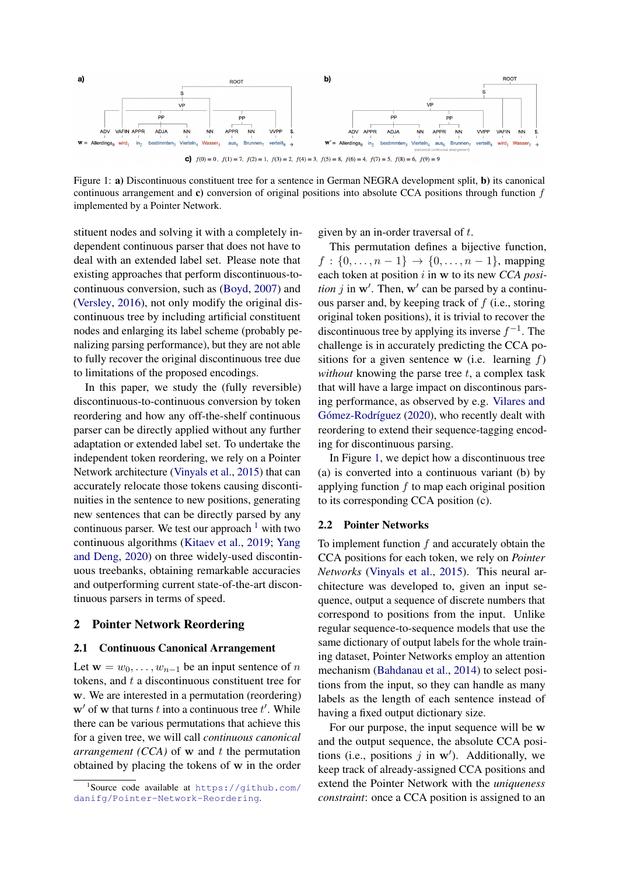<span id="page-1-0"></span>

Figure 1: a) Discontinuous constituent tree for a sentence in German NEGRA development split, b) its canonical continuous arrangement and c) conversion of original positions into absolute CCA positions through function  $f$ implemented by a Pointer Network.

stituent nodes and solving it with a completely independent continuous parser that does not have to deal with an extended label set. Please note that existing approaches that perform discontinuous-tocontinuous conversion, such as [\(Boyd,](#page-5-7) [2007\)](#page-5-7) and [\(Versley,](#page-6-10) [2016\)](#page-6-10), not only modify the original discontinuous tree by including artificial constituent nodes and enlarging its label scheme (probably penalizing parsing performance), but they are not able to fully recover the original discontinuous tree due to limitations of the proposed encodings.

In this paper, we study the (fully reversible) discontinuous-to-continuous conversion by token reordering and how any off-the-shelf continuous parser can be directly applied without any further adaptation or extended label set. To undertake the independent token reordering, we rely on a Pointer Network architecture [\(Vinyals et al.,](#page-6-12) [2015\)](#page-6-12) that can accurately relocate those tokens causing discontinuities in the sentence to new positions, generating new sentences that can be directly parsed by any continuous parser. We test our approach  $<sup>1</sup>$  $<sup>1</sup>$  $<sup>1</sup>$  with two</sup> continuous algorithms [\(Kitaev et al.,](#page-5-8) [2019;](#page-5-8) [Yang](#page-7-0) [and Deng,](#page-7-0) [2020\)](#page-7-0) on three widely-used discontinuous treebanks, obtaining remarkable accuracies and outperforming current state-of-the-art discontinuous parsers in terms of speed.

# 2 Pointer Network Reordering

#### 2.1 Continuous Canonical Arrangement

Let  $w = w_0, \ldots, w_{n-1}$  be an input sentence of n tokens, and t a discontinuous constituent tree for w. We are interested in a permutation (reordering)  $w'$  of w that turns t into a continuous tree t'. While there can be various permutations that achieve this for a given tree, we will call *continuous canonical arrangement (CCA)* of w and t the permutation obtained by placing the tokens of w in the order

given by an in-order traversal of t.

This permutation defines a bijective function,  $f: \{0, \ldots, n-1\} \to \{0, \ldots, n-1\}$ , mapping each token at position i in w to its new *CCA position*  $j$  in  $w'$ . Then,  $w'$  can be parsed by a continuous parser and, by keeping track of  $f$  (i.e., storing original token positions), it is trivial to recover the discontinuous tree by applying its inverse  $f^{-1}$ . The challenge is in accurately predicting the CCA positions for a given sentence w (i.e. learning  $f$ ) *without* knowing the parse tree  $t$ , a complex task that will have a large impact on discontinous parsing performance, as observed by e.g. [Vilares and](#page-6-9) [Gómez-Rodríguez](#page-6-9) [\(2020\)](#page-6-9), who recently dealt with reordering to extend their sequence-tagging encoding for discontinuous parsing.

In Figure [1,](#page-1-0) we depict how a discontinuous tree (a) is converted into a continuous variant (b) by applying function f to map each original position to its corresponding CCA position (c).

#### 2.2 Pointer Networks

To implement function  $f$  and accurately obtain the CCA positions for each token, we rely on *Pointer Networks* [\(Vinyals et al.,](#page-6-12) [2015\)](#page-6-12). This neural architecture was developed to, given an input sequence, output a sequence of discrete numbers that correspond to positions from the input. Unlike regular sequence-to-sequence models that use the same dictionary of output labels for the whole training dataset, Pointer Networks employ an attention mechanism [\(Bahdanau et al.,](#page-5-9) [2014\)](#page-5-9) to select positions from the input, so they can handle as many labels as the length of each sentence instead of having a fixed output dictionary size.

For our purpose, the input sequence will be w and the output sequence, the absolute CCA positions (i.e., positions  $j$  in  $w'$ ). Additionally, we keep track of already-assigned CCA positions and extend the Pointer Network with the *uniqueness constraint*: once a CCA position is assigned to an

<span id="page-1-1"></span><sup>1</sup> Source code available at [https://github.com/](https://github.com/danifg/Pointer-Network-Reordering) [danifg/Pointer-Network-Reordering](https://github.com/danifg/Pointer-Network-Reordering).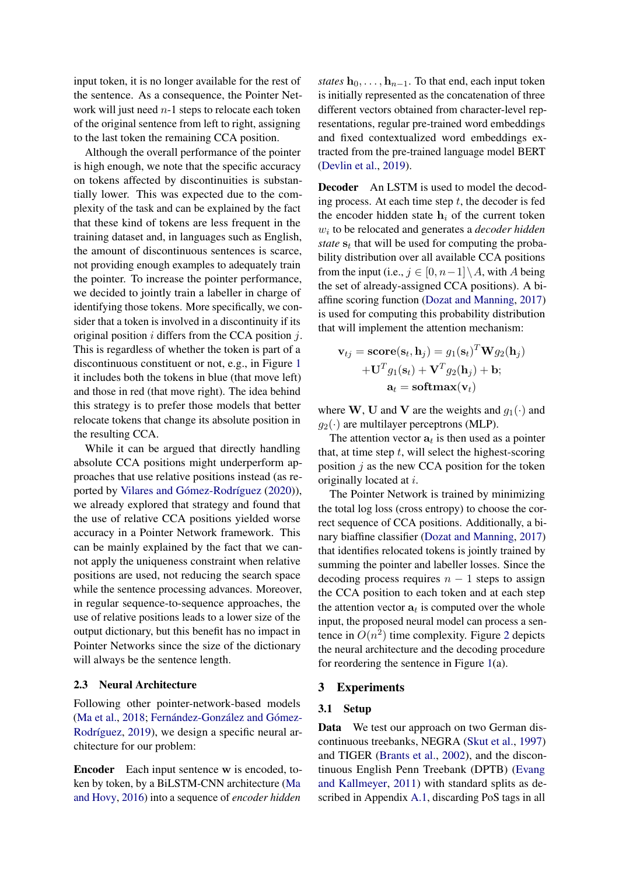input token, it is no longer available for the rest of the sentence. As a consequence, the Pointer Network will just need  $n-1$  steps to relocate each token of the original sentence from left to right, assigning to the last token the remaining CCA position.

Although the overall performance of the pointer is high enough, we note that the specific accuracy on tokens affected by discontinuities is substantially lower. This was expected due to the complexity of the task and can be explained by the fact that these kind of tokens are less frequent in the training dataset and, in languages such as English, the amount of discontinuous sentences is scarce, not providing enough examples to adequately train the pointer. To increase the pointer performance, we decided to jointly train a labeller in charge of identifying those tokens. More specifically, we consider that a token is involved in a discontinuity if its original position  $i$  differs from the CCA position  $j$ . This is regardless of whether the token is part of a discontinuous constituent or not, e.g., in Figure [1](#page-1-0) it includes both the tokens in blue (that move left) and those in red (that move right). The idea behind this strategy is to prefer those models that better relocate tokens that change its absolute position in the resulting CCA.

While it can be argued that directly handling absolute CCA positions might underperform approaches that use relative positions instead (as reported by [Vilares and Gómez-Rodríguez](#page-6-9) [\(2020\)](#page-6-9)), we already explored that strategy and found that the use of relative CCA positions yielded worse accuracy in a Pointer Network framework. This can be mainly explained by the fact that we cannot apply the uniqueness constraint when relative positions are used, not reducing the search space while the sentence processing advances. Moreover, in regular sequence-to-sequence approaches, the use of relative positions leads to a lower size of the output dictionary, but this benefit has no impact in Pointer Networks since the size of the dictionary will always be the sentence length.

#### 2.3 Neural Architecture

Following other pointer-network-based models [\(Ma et al.,](#page-6-13) [2018;](#page-6-13) [Fernández-González and Gómez-](#page-5-10)[Rodríguez,](#page-5-10) [2019\)](#page-5-10), we design a specific neural architecture for our problem:

Encoder Each input sentence w is encoded, token by token, by a BiLSTM-CNN architecture [\(Ma](#page-5-11) [and Hovy,](#page-5-11) [2016\)](#page-5-11) into a sequence of *encoder hidden*

*states*  $h_0, \ldots, h_{n-1}$ . To that end, each input token is initially represented as the concatenation of three different vectors obtained from character-level representations, regular pre-trained word embeddings and fixed contextualized word embeddings extracted from the pre-trained language model BERT [\(Devlin et al.,](#page-5-12) [2019\)](#page-5-12).

Decoder An LSTM is used to model the decoding process. At each time step  $t$ , the decoder is fed the encoder hidden state  $h_i$  of the current token wi to be relocated and generates a *decoder hidden state*  $s_t$  that will be used for computing the probability distribution over all available CCA positions from the input (i.e.,  $j \in [0, n-1] \setminus A$ , with A being the set of already-assigned CCA positions). A biaffine scoring function [\(Dozat and Manning,](#page-5-13) [2017\)](#page-5-13) is used for computing this probability distribution that will implement the attention mechanism:

$$
\mathbf{v}_{tj} = \mathbf{score}(\mathbf{s}_t, \mathbf{h}_j) = g_1(\mathbf{s}_t)^T \mathbf{W} g_2(\mathbf{h}_j)
$$

$$
+ \mathbf{U}^T g_1(\mathbf{s}_t) + \mathbf{V}^T g_2(\mathbf{h}_j) + \mathbf{b};
$$

$$
\mathbf{a}_t = \mathbf{softmax}(\mathbf{v}_t)
$$

where W, U and V are the weights and  $q_1(\cdot)$  and  $g_2(\cdot)$  are multilayer perceptrons (MLP).

The attention vector  $a_t$  is then used as a pointer that, at time step  $t$ , will select the highest-scoring position  $j$  as the new CCA position for the token originally located at i.

The Pointer Network is trained by minimizing the total log loss (cross entropy) to choose the correct sequence of CCA positions. Additionally, a binary biaffine classifier [\(Dozat and Manning,](#page-5-13) [2017\)](#page-5-13) that identifies relocated tokens is jointly trained by summing the pointer and labeller losses. Since the decoding process requires  $n - 1$  steps to assign the CCA position to each token and at each step the attention vector  $a_t$  is computed over the whole input, the proposed neural model can process a sentence in  $O(n^2)$  $O(n^2)$  $O(n^2)$  time complexity. Figure 2 depicts the neural architecture and the decoding procedure for reordering the sentence in Figure [1\(](#page-1-0)a).

#### 3 Experiments

#### 3.1 Setup

Data We test our approach on two German discontinuous treebanks, NEGRA [\(Skut et al.,](#page-6-14) [1997\)](#page-6-14) and TIGER [\(Brants et al.,](#page-5-14) [2002\)](#page-5-14), and the discontinuous English Penn Treebank (DPTB) [\(Evang](#page-5-15) [and Kallmeyer,](#page-5-15) [2011\)](#page-5-15) with standard splits as described in Appendix [A.1,](#page-8-0) discarding PoS tags in all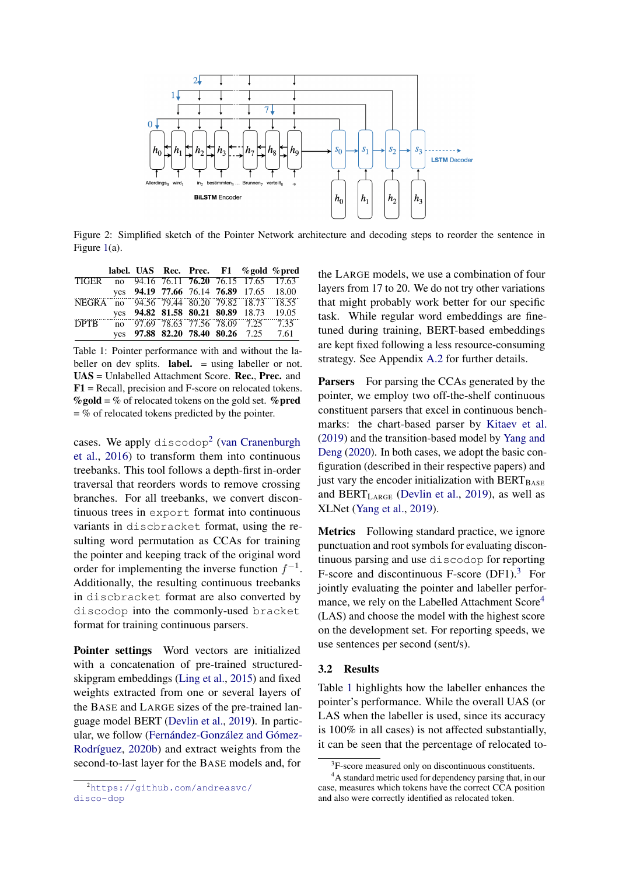<span id="page-3-0"></span>

Figure 2: Simplified sketch of the Pointer Network architecture and decoding steps to reorder the sentence in Figure [1\(](#page-1-0)a).

<span id="page-3-4"></span>

|                                              |  |  | label. UAS Rec. Prec. F1 % gold % pred  |  |
|----------------------------------------------|--|--|-----------------------------------------|--|
| TIGER no 94.16 76.11 76.20 76.15 17.65 17.63 |  |  |                                         |  |
|                                              |  |  | yes 94.19 77.66 76.14 76.89 17.65 18.00 |  |
| NEGRA no 94.56 79.44 80.20 79.82 18.73 18.55 |  |  |                                         |  |
|                                              |  |  | yes 94.82 81.58 80.21 80.89 18.73 19.05 |  |
| <b>DPTB</b>                                  |  |  | no 97.69 78.63 77.56 78.09 7.25 7.35    |  |
|                                              |  |  | yes 97.88 82.20 78.40 80.26 7.25 7.61   |  |

Table 1: Pointer performance with and without the labeller on dev splits. **label.**  $=$  using labeller or not. UAS = Unlabelled Attachment Score. Rec., Prec. and F1 = Recall, precision and F-score on relocated tokens.  $\%$  gold = % of relocated tokens on the gold set.  $\%$  pred  $=$  % of relocated tokens predicted by the pointer.

cases. We apply  $discodop^2$  $discodop^2$  [\(van Cranenburgh](#page-6-15) [et al.,](#page-6-15) [2016\)](#page-6-15) to transform them into continuous treebanks. This tool follows a depth-first in-order traversal that reorders words to remove crossing branches. For all treebanks, we convert discontinuous trees in export format into continuous variants in discbracket format, using the resulting word permutation as CCAs for training the pointer and keeping track of the original word order for implementing the inverse function  $f^{-1}$ . Additionally, the resulting continuous treebanks in discbracket format are also converted by discodop into the commonly-used bracket format for training continuous parsers.

Pointer settings Word vectors are initialized with a concatenation of pre-trained structuredskipgram embeddings [\(Ling et al.,](#page-5-16) [2015\)](#page-5-16) and fixed weights extracted from one or several layers of the BASE and LARGE sizes of the pre-trained language model BERT [\(Devlin et al.,](#page-5-12) [2019\)](#page-5-12). In particular, we follow [\(Fernández-González and Gómez-](#page-5-17)[Rodríguez,](#page-5-17) [2020b\)](#page-5-17) and extract weights from the second-to-last layer for the BASE models and, for the LARGE models, we use a combination of four layers from 17 to 20. We do not try other variations that might probably work better for our specific task. While regular word embeddings are finetuned during training, BERT-based embeddings are kept fixed following a less resource-consuming strategy. See Appendix [A.2](#page-8-1) for further details.

Parsers For parsing the CCAs generated by the pointer, we employ two off-the-shelf continuous constituent parsers that excel in continuous benchmarks: the chart-based parser by [Kitaev et al.](#page-5-8) [\(2019\)](#page-5-8) and the transition-based model by [Yang and](#page-7-0) [Deng](#page-7-0) [\(2020\)](#page-7-0). In both cases, we adopt the basic configuration (described in their respective papers) and just vary the encoder initialization with  $BERT_{BASE}$ and  $BERT_{LARGE}$  [\(Devlin et al.,](#page-5-12) [2019\)](#page-5-12), as well as XLNet [\(Yang et al.,](#page-7-1) [2019\)](#page-7-1).

Metrics Following standard practice, we ignore punctuation and root symbols for evaluating discontinuous parsing and use discodop for reporting F-score and discontinuous F-score (DF1).<sup>[3](#page-3-2)</sup> For jointly evaluating the pointer and labeller perfor-mance, we rely on the Labelled Attachment Score<sup>[4](#page-3-3)</sup> (LAS) and choose the model with the highest score on the development set. For reporting speeds, we use sentences per second (sent/s).

#### 3.2 Results

Table [1](#page-3-4) highlights how the labeller enhances the pointer's performance. While the overall UAS (or LAS when the labeller is used, since its accuracy is 100% in all cases) is not affected substantially, it can be seen that the percentage of relocated to-

<span id="page-3-1"></span><sup>2</sup>[https://github.com/andreasvc/](https://github.com/andreasvc/disco-dop) [disco-dop](https://github.com/andreasvc/disco-dop)

<span id="page-3-3"></span><span id="page-3-2"></span><sup>&</sup>lt;sup>3</sup>F-score measured only on discontinuous constituents.

<sup>4</sup>A standard metric used for dependency parsing that, in our case, measures which tokens have the correct CCA position and also were correctly identified as relocated token.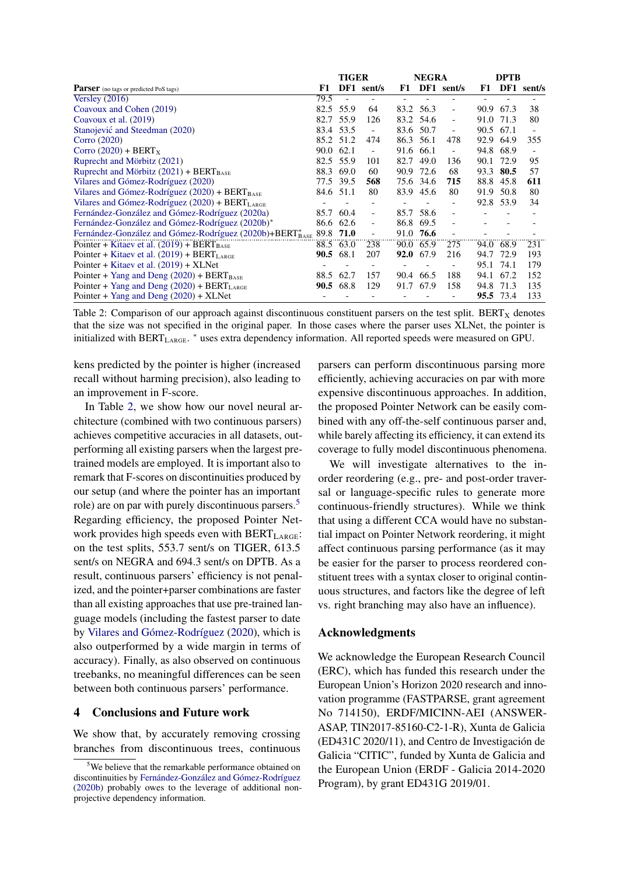<span id="page-4-0"></span>

|                                                                                  |      | TIGER     |                          |      | NEGRA |                          |      | <b>DPTB</b> |            |  |
|----------------------------------------------------------------------------------|------|-----------|--------------------------|------|-------|--------------------------|------|-------------|------------|--|
| <b>Parser</b> (no tags or predicted PoS tags)                                    | F1   |           | DF1 sent/s               | F1   |       | DF1 sent/s               | F1   |             | DF1 sent/s |  |
| Versley $(2016)$                                                                 | 79.5 |           |                          |      |       |                          |      |             |            |  |
| Coavoux and Cohen (2019)                                                         | 82.5 | 55.9      | 64                       | 83.2 | 56.3  | $\overline{\phantom{a}}$ | 90.9 | 67.3        | 38         |  |
| Coavoux et al. (2019)                                                            | 82.7 | 55.9      | 126                      | 83.2 | 54.6  | $\overline{\phantom{a}}$ | 91.0 | 71.3        | 80         |  |
| Stanojević and Steedman (2020)                                                   |      | 83.4 53.5 | $\overline{a}$           | 83.6 | 50.7  | $\overline{\phantom{a}}$ |      | 90.5 67.1   |            |  |
| Corro $(2020)$                                                                   |      | 85.2 51.2 | 474                      | 86.3 | 56.1  | 478                      | 92.9 | 64.9        | 355        |  |
| Corro $(2020)$ + BERT <sub>X</sub>                                               |      | 90.0 62.1 |                          | 91.6 | 66.1  |                          | 94.8 | 68.9        |            |  |
| Ruprecht and Mörbitz (2021)                                                      | 82.5 | 55.9      | 101                      | 82.7 | 49.0  | 136                      | 90.1 | 72.9        | 95         |  |
| Ruprecht and Mörbitz (2021) + BERT <sub>BASE</sub>                               |      | 88.3 69.0 | 60                       | 90.9 | 72.6  | 68                       | 93.3 | 80.5        | 57         |  |
| Vilares and Gómez-Rodríguez (2020)                                               |      | 77.5 39.5 | 568                      | 75.6 | 34.6  | 715                      | 88.8 | 45.8        | 611        |  |
| Vilares and Gómez-Rodríguez (2020) + $BERT_{BASE}$                               | 84.6 | 51.1      | 80                       | 83.9 | 45.6  | 80                       | 91.9 | 50.8        | 80         |  |
| Vilares and Gómez-Rodríguez (2020) + $BERT_{LARGE}$                              |      |           |                          |      |       |                          |      | 92.8 53.9   | 34         |  |
| Fernández-González and Gómez-Rodríguez (2020a)                                   | 85.7 | 60.4      | $\overline{\phantom{a}}$ | 85.7 | 58.6  | $\overline{\phantom{a}}$ |      |             |            |  |
| Fernández-González and Gómez-Rodríguez (2020b)*                                  | 86.6 | 62.6      | $\overline{a}$           | 86.8 | 69.5  | $\overline{\phantom{a}}$ |      |             |            |  |
| Fernández-González and Gómez-Rodríguez (2020b)+BERT <sup>*</sup> <sub>BASE</sub> | 89.8 | 71.0      |                          | 91.0 | 76.6  |                          |      |             |            |  |
| Pointer + Kitaev et al. $(2019)$ + BERT <sub>BASE</sub>                          | 88.5 | 63.0      | 238                      | 90.0 | 65.9  | 275                      | 94.0 | 68.9        | 231        |  |
| Pointer + Kitaev et al. $(2019)$ + BERT <sub>LARGE</sub>                         | 90.5 | 68.1      | 207                      | 92.0 | 67.9  | 216                      | 94.7 | 72.9        | 193        |  |
| Pointer + Kitaev et al. $(2019) + XLNet$                                         |      |           |                          |      |       |                          | 95.1 | 74.1        | 179        |  |
| Pointer + Yang and Deng $(2020)$ + BERT <sub>BASE</sub>                          | 88.5 | 62.7      | 157                      | 90.4 | 66.5  | 188                      | 94.1 | 67.2        | 152        |  |
| Pointer + Yang and Deng $(2020)$ + BERT <sub>LARGE</sub>                         | 90.5 | 68.8      | 129                      | 91.7 | 67.9  | 158                      | 94.8 | 71.3        | 135        |  |
| Pointer + Yang and Deng $(2020)$ + XLNet                                         |      |           |                          |      |       |                          |      | 95.5 73.4   | 133        |  |

Table 2: Comparison of our approach against discontinuous constituent parsers on the test split. BERT<sub>x</sub> denotes that the size was not specified in the original paper. In those cases where the parser uses XLNet, the pointer is initialized with BERT<sub>LARGE</sub>. \* uses extra dependency information. All reported speeds were measured on GPU.

kens predicted by the pointer is higher (increased recall without harming precision), also leading to an improvement in F-score.

In Table [2,](#page-4-0) we show how our novel neural architecture (combined with two continuous parsers) achieves competitive accuracies in all datasets, outperforming all existing parsers when the largest pretrained models are employed. It is important also to remark that F-scores on discontinuities produced by our setup (and where the pointer has an important role) are on par with purely discontinuous parsers.<sup>[5](#page-4-1)</sup> Regarding efficiency, the proposed Pointer Network provides high speeds even with BERT<sub>LARGE</sub>: on the test splits, 553.7 sent/s on TIGER, 613.5 sent/s on NEGRA and 694.3 sent/s on DPTB. As a result, continuous parsers' efficiency is not penalized, and the pointer+parser combinations are faster than all existing approaches that use pre-trained language models (including the fastest parser to date by [Vilares and Gómez-Rodríguez](#page-6-9) [\(2020\)](#page-6-9), which is also outperformed by a wide margin in terms of accuracy). Finally, as also observed on continuous treebanks, no meaningful differences can be seen between both continuous parsers' performance.

# 4 Conclusions and Future work

We show that, by accurately removing crossing branches from discontinuous trees, continuous parsers can perform discontinuous parsing more efficiently, achieving accuracies on par with more expensive discontinuous approaches. In addition, the proposed Pointer Network can be easily combined with any off-the-self continuous parser and, while barely affecting its efficiency, it can extend its coverage to fully model discontinuous phenomena.

We will investigate alternatives to the inorder reordering (e.g., pre- and post-order traversal or language-specific rules to generate more continuous-friendly structures). While we think that using a different CCA would have no substantial impact on Pointer Network reordering, it might affect continuous parsing performance (as it may be easier for the parser to process reordered constituent trees with a syntax closer to original continuous structures, and factors like the degree of left vs. right branching may also have an influence).

### Acknowledgments

We acknowledge the European Research Council (ERC), which has funded this research under the European Union's Horizon 2020 research and innovation programme (FASTPARSE, grant agreement No 714150), ERDF/MICINN-AEI (ANSWER-ASAP, TIN2017-85160-C2-1-R), Xunta de Galicia (ED431C 2020/11), and Centro de Investigación de Galicia "CITIC", funded by Xunta de Galicia and the European Union (ERDF - Galicia 2014-2020 Program), by grant ED431G 2019/01.

<span id="page-4-1"></span><sup>&</sup>lt;sup>5</sup>We believe that the remarkable performance obtained on discontinuities by [Fernández-González and Gómez-Rodríguez](#page-5-17) [\(2020b\)](#page-5-17) probably owes to the leverage of additional nonprojective dependency information.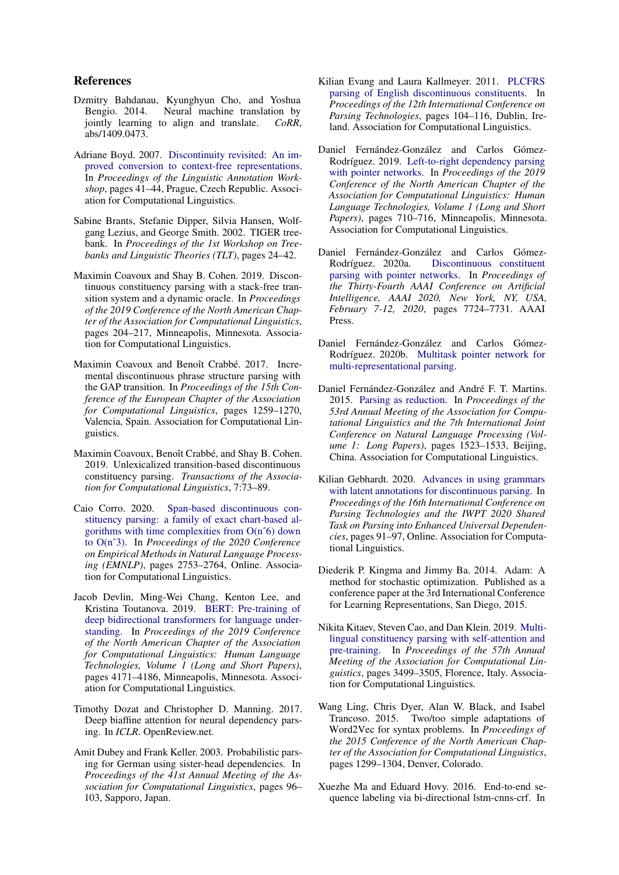### References

- <span id="page-5-9"></span>Dzmitry Bahdanau, Kyunghyun Cho, and Yoshua Neural machine translation by jointly learning to align and translate. *CoRR*, abs/1409.0473.
- <span id="page-5-7"></span>Adriane Boyd. 2007. [Discontinuity revisited: An im](https://www.aclweb.org/anthology/W07-1506)[proved conversion to context-free representations.](https://www.aclweb.org/anthology/W07-1506) In *Proceedings of the Linguistic Annotation Workshop*, pages 41–44, Prague, Czech Republic. Association for Computational Linguistics.
- <span id="page-5-14"></span>Sabine Brants, Stefanie Dipper, Silvia Hansen, Wolfgang Lezius, and George Smith. 2002. TIGER treebank. In *Proceedings of the 1st Workshop on Treebanks and Linguistic Theories (TLT)*, pages 24–42.
- <span id="page-5-4"></span>Maximin Coavoux and Shay B. Cohen. 2019. Discontinuous constituency parsing with a stack-free transition system and a dynamic oracle. In *Proceedings of the 2019 Conference of the North American Chapter of the Association for Computational Linguistics*, pages 204–217, Minneapolis, Minnesota. Association for Computational Linguistics.
- <span id="page-5-2"></span>Maximin Coavoux and Benoît Crabbé. 2017. Incremental discontinuous phrase structure parsing with the GAP transition. In *Proceedings of the 15th Conference of the European Chapter of the Association for Computational Linguistics*, pages 1259–1270, Valencia, Spain. Association for Computational Linguistics.
- <span id="page-5-3"></span>Maximin Coavoux, Benoît Crabbé, and Shay B. Cohen. 2019. Unlexicalized transition-based discontinuous constituency parsing. *Transactions of the Association for Computational Linguistics*, 7:73–89.
- <span id="page-5-1"></span>Caio Corro. 2020. [Span-based discontinuous con](https://doi.org/10.18653/v1/2020.emnlp-main.219)[stituency parsing: a family of exact chart-based al](https://doi.org/10.18653/v1/2020.emnlp-main.219)gorithms with time complexities from  $O(n<sup>6</sup>)$  down [to O\(nˆ3\).](https://doi.org/10.18653/v1/2020.emnlp-main.219) In *Proceedings of the 2020 Conference on Empirical Methods in Natural Language Processing (EMNLP)*, pages 2753–2764, Online. Association for Computational Linguistics.
- <span id="page-5-12"></span>Jacob Devlin, Ming-Wei Chang, Kenton Lee, and Kristina Toutanova. 2019. [BERT: Pre-training of](https://doi.org/10.18653/v1/N19-1423) [deep bidirectional transformers for language under](https://doi.org/10.18653/v1/N19-1423)[standing.](https://doi.org/10.18653/v1/N19-1423) In *Proceedings of the 2019 Conference of the North American Chapter of the Association for Computational Linguistics: Human Language Technologies, Volume 1 (Long and Short Papers)*, pages 4171–4186, Minneapolis, Minnesota. Association for Computational Linguistics.
- <span id="page-5-13"></span>Timothy Dozat and Christopher D. Manning. 2017. Deep biaffine attention for neural dependency parsing. In *ICLR*. OpenReview.net.
- <span id="page-5-18"></span>Amit Dubey and Frank Keller. 2003. Probabilistic parsing for German using sister-head dependencies. In *Proceedings of the 41st Annual Meeting of the Association for Computational Linguistics*, pages 96– 103, Sapporo, Japan.
- <span id="page-5-15"></span>Kilian Evang and Laura Kallmeyer. 2011. [PLCFRS](https://www.aclweb.org/anthology/W11-2913) [parsing of English discontinuous constituents.](https://www.aclweb.org/anthology/W11-2913) In *Proceedings of the 12th International Conference on Parsing Technologies*, pages 104–116, Dublin, Ireland. Association for Computational Linguistics.
- <span id="page-5-10"></span>Daniel Fernández-González and Carlos Gómez-Rodríguez. 2019. [Left-to-right dependency parsing](https://doi.org/10.18653/v1/N19-1076) [with pointer networks.](https://doi.org/10.18653/v1/N19-1076) In *Proceedings of the 2019 Conference of the North American Chapter of the Association for Computational Linguistics: Human Language Technologies, Volume 1 (Long and Short Papers)*, pages 710–716, Minneapolis, Minnesota. Association for Computational Linguistics.
- <span id="page-5-6"></span>Daniel Fernández-González and Carlos Gómez-Rodríguez. 2020a. [Discontinuous constituent](https://doi.org/https://doi.org/10.1609/aaai.v34i05.6275) [parsing with pointer networks.](https://doi.org/https://doi.org/10.1609/aaai.v34i05.6275) In *Proceedings of the Thirty-Fourth AAAI Conference on Artificial Intelligence, AAAI 2020, New York, NY, USA, February 7-12, 2020*, pages 7724–7731. AAAI Press.
- <span id="page-5-17"></span>Daniel Fernández-González and Carlos Gómez-Rodríguez. 2020b. [Multitask pointer network for](http://arxiv.org/abs/2009.09730) [multi-representational parsing.](http://arxiv.org/abs/2009.09730)
- <span id="page-5-5"></span>Daniel Fernández-González and André F. T. Martins. 2015. [Parsing as reduction.](https://doi.org/10.3115/v1/P15-1147) In *Proceedings of the 53rd Annual Meeting of the Association for Computational Linguistics and the 7th International Joint Conference on Natural Language Processing (Volume 1: Long Papers)*, pages 1523–1533, Beijing, China. Association for Computational Linguistics.
- <span id="page-5-0"></span>Kilian Gebhardt. 2020. [Advances in using grammars](https://doi.org/10.18653/v1/2020.iwpt-1.9) [with latent annotations for discontinuous parsing.](https://doi.org/10.18653/v1/2020.iwpt-1.9) In *Proceedings of the 16th International Conference on Parsing Technologies and the IWPT 2020 Shared Task on Parsing into Enhanced Universal Dependencies*, pages 91–97, Online. Association for Computational Linguistics.
- <span id="page-5-19"></span>Diederik P. Kingma and Jimmy Ba. 2014. Adam: A method for stochastic optimization. Published as a conference paper at the 3rd International Conference for Learning Representations, San Diego, 2015.
- <span id="page-5-8"></span>Nikita Kitaev, Steven Cao, and Dan Klein. 2019. [Multi](https://doi.org/10.18653/v1/P19-1340)[lingual constituency parsing with self-attention and](https://doi.org/10.18653/v1/P19-1340) [pre-training.](https://doi.org/10.18653/v1/P19-1340) In *Proceedings of the 57th Annual Meeting of the Association for Computational Linguistics*, pages 3499–3505, Florence, Italy. Association for Computational Linguistics.
- <span id="page-5-16"></span>Wang Ling, Chris Dyer, Alan W. Black, and Isabel Trancoso. 2015. Two/too simple adaptations of Word2Vec for syntax problems. In *Proceedings of the 2015 Conference of the North American Chapter of the Association for Computational Linguistics*, pages 1299–1304, Denver, Colorado.
- <span id="page-5-11"></span>Xuezhe Ma and Eduard Hovy. 2016. End-to-end sequence labeling via bi-directional lstm-cnns-crf. In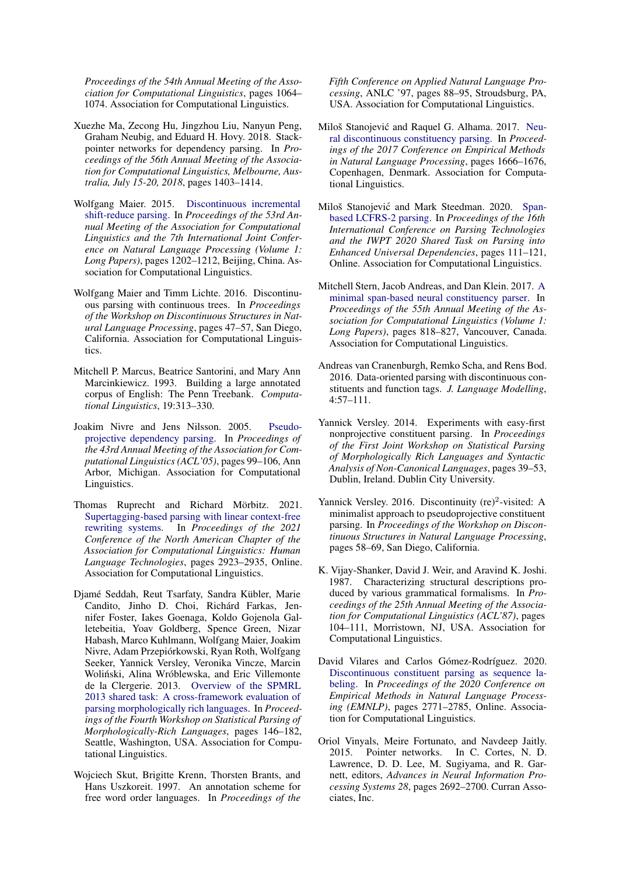*Proceedings of the 54th Annual Meeting of the Association for Computational Linguistics*, pages 1064– 1074. Association for Computational Linguistics.

- <span id="page-6-13"></span>Xuezhe Ma, Zecong Hu, Jingzhou Liu, Nanyun Peng, Graham Neubig, and Eduard H. Hovy. 2018. Stackpointer networks for dependency parsing. In *Proceedings of the 56th Annual Meeting of the Association for Computational Linguistics, Melbourne, Australia, July 15-20, 2018*, pages 1403–1414.
- <span id="page-6-6"></span>Wolfgang Maier. 2015. [Discontinuous incremental](https://doi.org/10.3115/v1/P15-1116) [shift-reduce parsing.](https://doi.org/10.3115/v1/P15-1116) In *Proceedings of the 53rd Annual Meeting of the Association for Computational Linguistics and the 7th International Joint Conference on Natural Language Processing (Volume 1: Long Papers)*, pages 1202–1212, Beijing, China. Association for Computational Linguistics.
- <span id="page-6-7"></span>Wolfgang Maier and Timm Lichte. 2016. Discontinuous parsing with continuous trees. In *Proceedings of the Workshop on Discontinuous Structures in Natural Language Processing*, pages 47–57, San Diego, California. Association for Computational Linguistics.
- <span id="page-6-0"></span>Mitchell P. Marcus, Beatrice Santorini, and Mary Ann Marcinkiewicz. 1993. Building a large annotated corpus of English: The Penn Treebank. *Computational Linguistics*, 19:313–330.
- <span id="page-6-11"></span>Joakim Nivre and Jens Nilsson. 2005. [Pseudo](https://doi.org/10.3115/1219840.1219853)[projective dependency parsing.](https://doi.org/10.3115/1219840.1219853) In *Proceedings of the 43rd Annual Meeting of the Association for Computational Linguistics (ACL'05)*, pages 99–106, Ann Arbor, Michigan. Association for Computational Linguistics.
- <span id="page-6-2"></span>Thomas Ruprecht and Richard Mörbitz. 2021. [Supertagging-based parsing with linear context-free](https://doi.org/10.18653/v1/2021.naacl-main.232) [rewriting systems.](https://doi.org/10.18653/v1/2021.naacl-main.232) In *Proceedings of the 2021 Conference of the North American Chapter of the Association for Computational Linguistics: Human Language Technologies*, pages 2923–2935, Online. Association for Computational Linguistics.
- <span id="page-6-16"></span>Djamé Seddah, Reut Tsarfaty, Sandra Kübler, Marie Candito, Jinho D. Choi, Richárd Farkas, Jennifer Foster, Iakes Goenaga, Koldo Gojenola Galletebeitia, Yoav Goldberg, Spence Green, Nizar Habash, Marco Kuhlmann, Wolfgang Maier, Joakim Nivre, Adam Przepiórkowski, Ryan Roth, Wolfgang Seeker, Yannick Versley, Veronika Vincze, Marcin Wolinski, Alina Wróblewska, and Eric Villemonte ´ de la Clergerie. 2013. [Overview of the SPMRL](https://www.aclweb.org/anthology/W13-4917) [2013 shared task: A cross-framework evaluation of](https://www.aclweb.org/anthology/W13-4917) [parsing morphologically rich languages.](https://www.aclweb.org/anthology/W13-4917) In *Proceedings of the Fourth Workshop on Statistical Parsing of Morphologically-Rich Languages*, pages 146–182, Seattle, Washington, USA. Association for Computational Linguistics.
- <span id="page-6-14"></span>Wojciech Skut, Brigitte Krenn, Thorsten Brants, and Hans Uszkoreit. 1997. An annotation scheme for free word order languages. In *Proceedings of the*

*Fifth Conference on Applied Natural Language Processing*, ANLC '97, pages 88–95, Stroudsburg, PA, USA. Association for Computational Linguistics.

- <span id="page-6-8"></span>Miloš Stanojević and Raquel G. Alhama. 2017. [Neu](https://doi.org/10.18653/v1/D17-1174)[ral discontinuous constituency parsing.](https://doi.org/10.18653/v1/D17-1174) In *Proceedings of the 2017 Conference on Empirical Methods in Natural Language Processing*, pages 1666–1676, Copenhagen, Denmark. Association for Computational Linguistics.
- <span id="page-6-4"></span>Miloš Stanojević and Mark Steedman. 2020. [Span](https://doi.org/10.18653/v1/2020.iwpt-1.12)[based LCFRS-2 parsing.](https://doi.org/10.18653/v1/2020.iwpt-1.12) In *Proceedings of the 16th International Conference on Parsing Technologies and the IWPT 2020 Shared Task on Parsing into Enhanced Universal Dependencies*, pages 111–121, Online. Association for Computational Linguistics.
- <span id="page-6-3"></span>Mitchell Stern, Jacob Andreas, and Dan Klein. 2017. [A](https://doi.org/10.18653/v1/P17-1076) [minimal span-based neural constituency parser.](https://doi.org/10.18653/v1/P17-1076) In *Proceedings of the 55th Annual Meeting of the Association for Computational Linguistics (Volume 1: Long Papers)*, pages 818–827, Vancouver, Canada. Association for Computational Linguistics.
- <span id="page-6-15"></span>Andreas van Cranenburgh, Remko Scha, and Rens Bod. 2016. Data-oriented parsing with discontinuous constituents and function tags. *J. Language Modelling*, 4:57–111.
- <span id="page-6-5"></span>Yannick Versley. 2014. Experiments with easy-first nonprojective constituent parsing. In *Proceedings of the First Joint Workshop on Statistical Parsing of Morphologically Rich Languages and Syntactic Analysis of Non-Canonical Languages*, pages 39–53, Dublin, Ireland. Dublin City University.
- <span id="page-6-10"></span>Yannick Versley. 2016. Discontinuity (re)<sup>2</sup>-visited: A minimalist approach to pseudoprojective constituent parsing. In *Proceedings of the Workshop on Discontinuous Structures in Natural Language Processing*, pages 58–69, San Diego, California.
- <span id="page-6-1"></span>K. Vijay-Shanker, David J. Weir, and Aravind K. Joshi. 1987. Characterizing structural descriptions produced by various grammatical formalisms. In *Proceedings of the 25th Annual Meeting of the Association for Computational Linguistics (ACL'87)*, pages 104–111, Morristown, NJ, USA. Association for Computational Linguistics.
- <span id="page-6-9"></span>David Vilares and Carlos Gómez-Rodríguez. 2020. [Discontinuous constituent parsing as sequence la](https://doi.org/10.18653/v1/2020.emnlp-main.221)[beling.](https://doi.org/10.18653/v1/2020.emnlp-main.221) In *Proceedings of the 2020 Conference on Empirical Methods in Natural Language Processing (EMNLP)*, pages 2771–2785, Online. Association for Computational Linguistics.
- <span id="page-6-12"></span>Oriol Vinyals, Meire Fortunato, and Navdeep Jaitly. 2015. Pointer networks. In C. Cortes, N. D. Lawrence, D. D. Lee, M. Sugiyama, and R. Garnett, editors, *Advances in Neural Information Processing Systems 28*, pages 2692–2700. Curran Associates, Inc.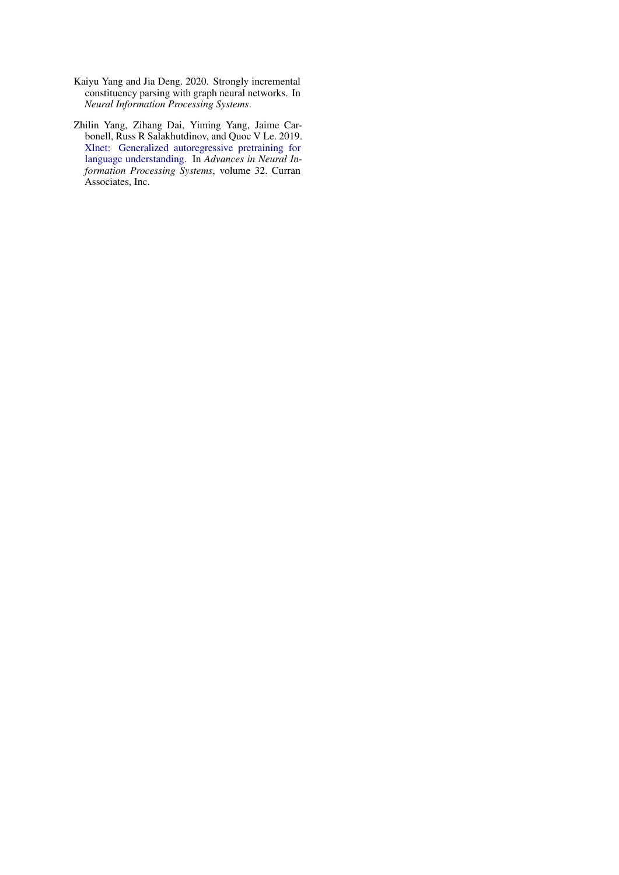- <span id="page-7-0"></span>Kaiyu Yang and Jia Deng. 2020. Strongly incremental constituency parsing with graph neural networks. In *Neural Information Processing Systems*.
- <span id="page-7-1"></span>Zhilin Yang, Zihang Dai, Yiming Yang, Jaime Carbonell, Russ R Salakhutdinov, and Quoc V Le. 2019. [Xlnet: Generalized autoregressive pretraining for](https://proceedings.neurips.cc/paper/2019/file/dc6a7e655d7e5840e66733e9ee67cc69-Paper.pdf) [language understanding.](https://proceedings.neurips.cc/paper/2019/file/dc6a7e655d7e5840e66733e9ee67cc69-Paper.pdf) In *Advances in Neural Information Processing Systems*, volume 32. Curran Associates, Inc.